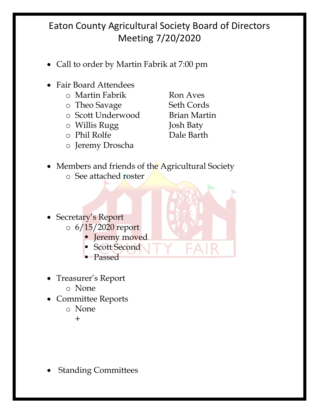## Eaton County Agricultural Society Board of Directors Meeting 7/20/2020

- Call to order by Martin Fabrik at 7:00 pm
- Fair Board Attendees
	- o Martin Fabrik Ron Aves
	- o Theo Savage Seth Cords
	- o Scott Underwood Brian Martin
	- o Willis Rugg Josh Baty
	- o Phil Rolfe Dale Barth
	- o Jeremy Droscha

- Members and friends of the Agricultural Society o See attached roster
	-
- Secretary's Report  $\circ$  6/15/2020 report
	- **•** Jeremy moved
	- Scott Second
	- § Passed
- Treasurer's Report
	- o None
- Committee Reports
	- o None

+

• Standing Committees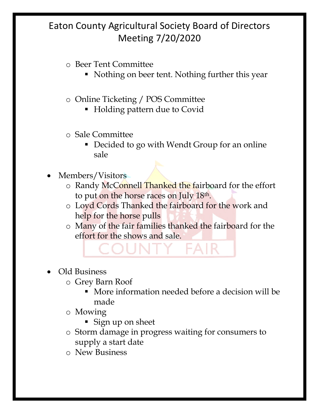## Eaton County Agricultural Society Board of Directors Meeting 7/20/2020

#### o Beer Tent Committee

• Nothing on beer tent. Nothing further this year

#### o Online Ticketing / POS Committee

- Holding pattern due to Covid
- o Sale Committee
	- Decided to go with Wendt Group for an online sale
- Members/Visitors
	- o Randy McConnell Thanked the fairboard for the effort to put on the horse races on July 18th.
	- o Loyd Cords Thanked the fairboard for the work and help for the horse pulls
	- o Many of the fair families thanked the fairboard for the effort for the shows and sale.

# • Old Business

- o Grey Barn Roof
	- § More information needed before a decision will be made
	- o Mowing
		- Sign up on sheet
	- o Storm damage in progress waiting for consumers to supply a start date
	- o New Business